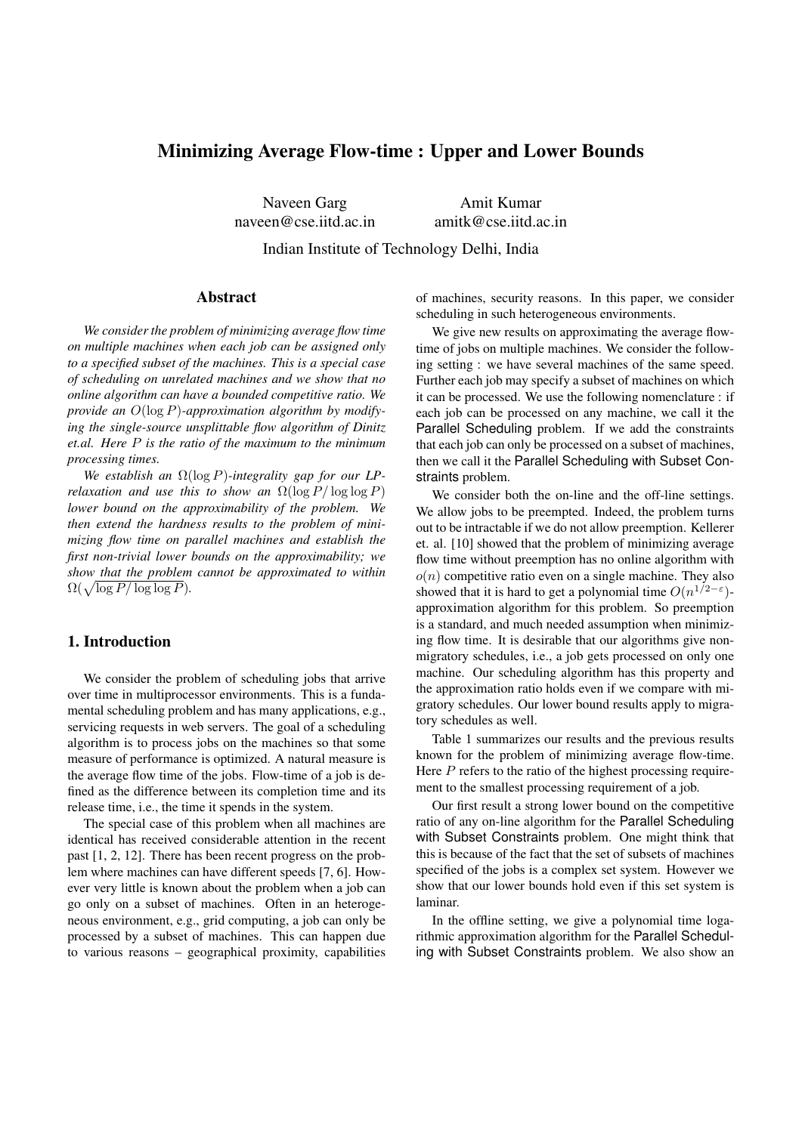# Minimizing Average Flow-time : Upper and Lower Bounds

Naveen Garg naveen@cse.iitd.ac.in

Amit Kumar amitk@cse.iitd.ac.in

Indian Institute of Technology Delhi, India

#### Abstract

*We consider the problem of minimizing average flow time on multiple machines when each job can be assigned only to a specified subset of the machines. This is a special case of scheduling on unrelated machines and we show that no online algorithm can have a bounded competitive ratio. We provide an* O(log P)*-approximation algorithm by modifying the single-source unsplittable flow algorithm of Dinitz et.al. Here* P *is the ratio of the maximum to the minimum processing times.*

*We establish an* Ω(log P)*-integrality gap for our LPrelaxation and use this to show an*  $\Omega(\log P/\log \log P)$ *lower bound on the approximability of the problem. We then extend the hardness results to the problem of minimizing flow time on parallel machines and establish the first non-trivial lower bounds on the approximability; we show that the problem cannot be approximated to within*  $\Omega(\sqrt{\log P/\log\log P})$ .

## 1. Introduction

We consider the problem of scheduling jobs that arrive over time in multiprocessor environments. This is a fundamental scheduling problem and has many applications, e.g., servicing requests in web servers. The goal of a scheduling algorithm is to process jobs on the machines so that some measure of performance is optimized. A natural measure is the average flow time of the jobs. Flow-time of a job is defined as the difference between its completion time and its release time, i.e., the time it spends in the system.

The special case of this problem when all machines are identical has received considerable attention in the recent past [1, 2, 12]. There has been recent progress on the problem where machines can have different speeds [7, 6]. However very little is known about the problem when a job can go only on a subset of machines. Often in an heterogeneous environment, e.g., grid computing, a job can only be processed by a subset of machines. This can happen due to various reasons – geographical proximity, capabilities of machines, security reasons. In this paper, we consider scheduling in such heterogeneous environments.

We give new results on approximating the average flowtime of jobs on multiple machines. We consider the following setting : we have several machines of the same speed. Further each job may specify a subset of machines on which it can be processed. We use the following nomenclature : if each job can be processed on any machine, we call it the Parallel Scheduling problem. If we add the constraints that each job can only be processed on a subset of machines, then we call it the Parallel Scheduling with Subset Constraints problem.

We consider both the on-line and the off-line settings. We allow jobs to be preempted. Indeed, the problem turns out to be intractable if we do not allow preemption. Kellerer et. al. [10] showed that the problem of minimizing average flow time without preemption has no online algorithm with  $o(n)$  competitive ratio even on a single machine. They also showed that it is hard to get a polynomial time  $O(n^{1/2-\epsilon})$ approximation algorithm for this problem. So preemption is a standard, and much needed assumption when minimizing flow time. It is desirable that our algorithms give nonmigratory schedules, i.e., a job gets processed on only one machine. Our scheduling algorithm has this property and the approximation ratio holds even if we compare with migratory schedules. Our lower bound results apply to migratory schedules as well.

Table 1 summarizes our results and the previous results known for the problem of minimizing average flow-time. Here  $P$  refers to the ratio of the highest processing requirement to the smallest processing requirement of a job.

Our first result a strong lower bound on the competitive ratio of any on-line algorithm for the Parallel Scheduling with Subset Constraints problem. One might think that this is because of the fact that the set of subsets of machines specified of the jobs is a complex set system. However we show that our lower bounds hold even if this set system is laminar.

In the offline setting, we give a polynomial time logarithmic approximation algorithm for the Parallel Scheduling with Subset Constraints problem. We also show an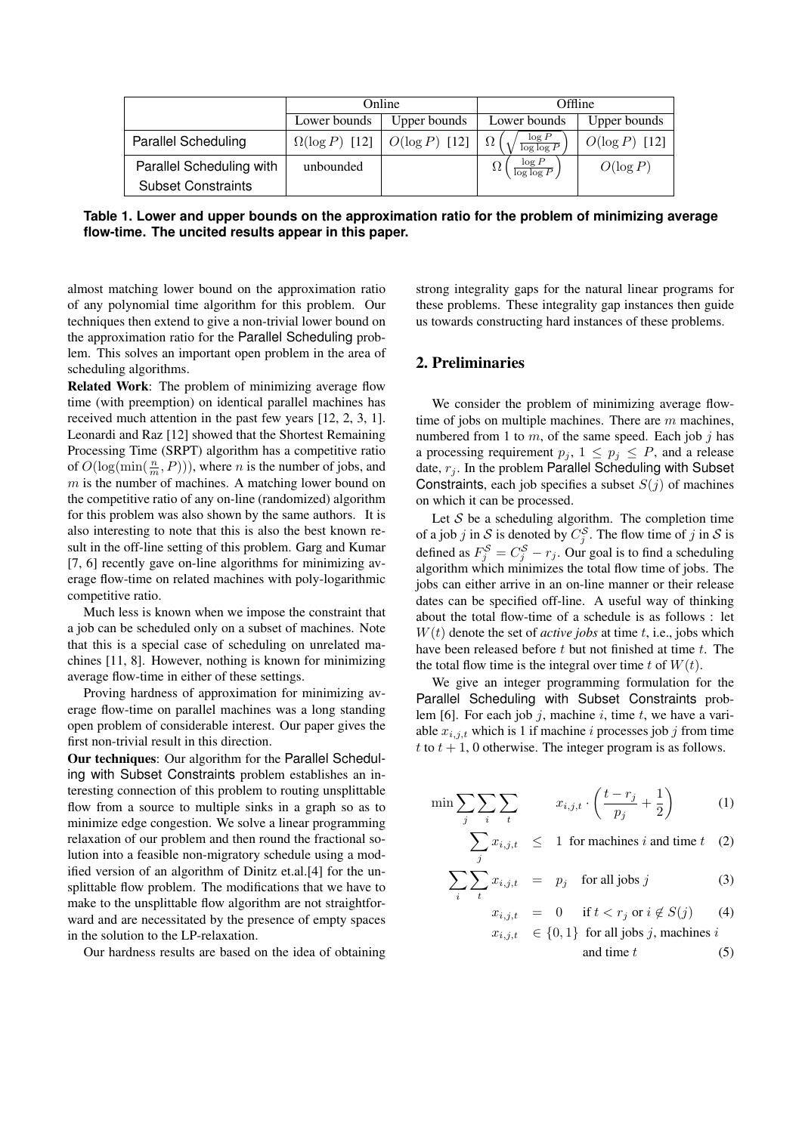|                            | Online                |                  | Offline                                               |                  |
|----------------------------|-----------------------|------------------|-------------------------------------------------------|------------------|
|                            | Lower bounds          | Upper bounds     | Lower bounds                                          | Upper bounds     |
| <b>Parallel Scheduling</b> | $\Omega(\log P)$ [12] | $O(\log P)$ [12] | $\frac{\log P}{\log \log P}$<br>$\Omega$ <sup>t</sup> | $O(\log P)$ [12] |
| Parallel Scheduling with   | unbounded             |                  | $\log P$<br>$\log \log P$                             | $O(\log P)$      |
| <b>Subset Constraints</b>  |                       |                  |                                                       |                  |

**Table 1. Lower and upper bounds on the approximation ratio for the problem of minimizing average flow-time. The uncited results appear in this paper.**

almost matching lower bound on the approximation ratio of any polynomial time algorithm for this problem. Our techniques then extend to give a non-trivial lower bound on the approximation ratio for the Parallel Scheduling problem. This solves an important open problem in the area of scheduling algorithms.

Related Work: The problem of minimizing average flow time (with preemption) on identical parallel machines has received much attention in the past few years [12, 2, 3, 1]. Leonardi and Raz [12] showed that the Shortest Remaining Processing Time (SRPT) algorithm has a competitive ratio of  $O(\log(\min(\frac{n}{m}, P)))$ , where *n* is the number of jobs, and  $m$  is the number of machines. A matching lower bound on the competitive ratio of any on-line (randomized) algorithm for this problem was also shown by the same authors. It is also interesting to note that this is also the best known result in the off-line setting of this problem. Garg and Kumar [7, 6] recently gave on-line algorithms for minimizing average flow-time on related machines with poly-logarithmic competitive ratio.

Much less is known when we impose the constraint that a job can be scheduled only on a subset of machines. Note that this is a special case of scheduling on unrelated machines [11, 8]. However, nothing is known for minimizing average flow-time in either of these settings.

Proving hardness of approximation for minimizing average flow-time on parallel machines was a long standing open problem of considerable interest. Our paper gives the first non-trivial result in this direction.

Our techniques: Our algorithm for the Parallel Scheduling with Subset Constraints problem establishes an interesting connection of this problem to routing unsplittable flow from a source to multiple sinks in a graph so as to minimize edge congestion. We solve a linear programming relaxation of our problem and then round the fractional solution into a feasible non-migratory schedule using a modified version of an algorithm of Dinitz et.al.[4] for the unsplittable flow problem. The modifications that we have to make to the unsplittable flow algorithm are not straightforward and are necessitated by the presence of empty spaces in the solution to the LP-relaxation.

Our hardness results are based on the idea of obtaining

strong integrality gaps for the natural linear programs for these problems. These integrality gap instances then guide us towards constructing hard instances of these problems.

## 2. Preliminaries

We consider the problem of minimizing average flowtime of jobs on multiple machines. There are  $m$  machines, numbered from 1 to  $m$ , of the same speed. Each job  $j$  has a processing requirement  $p_j$ ,  $1 \leq p_j \leq P$ , and a release date,  $r_j$ . In the problem Parallel Scheduling with Subset Constraints, each job specifies a subset  $S(j)$  of machines on which it can be processed.

Let  $S$  be a scheduling algorithm. The completion time of a job j in S is denoted by  $C_j^S$ . The flow time of j in S is defined as  $F_j^S = C_j^S - r_j$ . Our goal is to find a scheduling algorithm which minimizes the total flow time of jobs. The jobs can either arrive in an on-line manner or their release dates can be specified off-line. A useful way of thinking about the total flow-time of a schedule is as follows : let  $W(t)$  denote the set of *active jobs* at time t, i.e., jobs which have been released before  $t$  but not finished at time  $t$ . The the total flow time is the integral over time t of  $W(t)$ .

We give an integer programming formulation for the Parallel Scheduling with Subset Constraints problem [6]. For each job  $j$ , machine  $i$ , time  $t$ , we have a variable  $x_{i,j,t}$  which is 1 if machine i processes job j from time t to  $t + 1$ , 0 otherwise. The integer program is as follows.

$$
\min \sum_{j} \sum_{i} \sum_{t} x_{i,j,t} \cdot \left(\frac{t - r_j}{p_j} + \frac{1}{2}\right) \tag{1}
$$
\n
$$
\sum_{i} x_{i,j,t} \leq 1 \text{ for machines } i \text{ and time } t \tag{2}
$$

$$
_{j,t} \leq 1 \text{ for }
$$

j

$$
x_{i,j,t} \leq 1 \text{ for machines } i \text{ and time } t \quad (2)
$$

$$
\sum_{i} \sum_{t} x_{i,j,t} = p_j \quad \text{for all jobs } j \tag{3}
$$

$$
x_{i,j,t} = 0 \quad \text{if } t < r_j \text{ or } i \notin S(j) \tag{4}
$$
\n
$$
x_{i,j,t} \in \{0,1\} \text{ for all jobs } j \text{, machines } i
$$

and time 
$$
t
$$
 (5)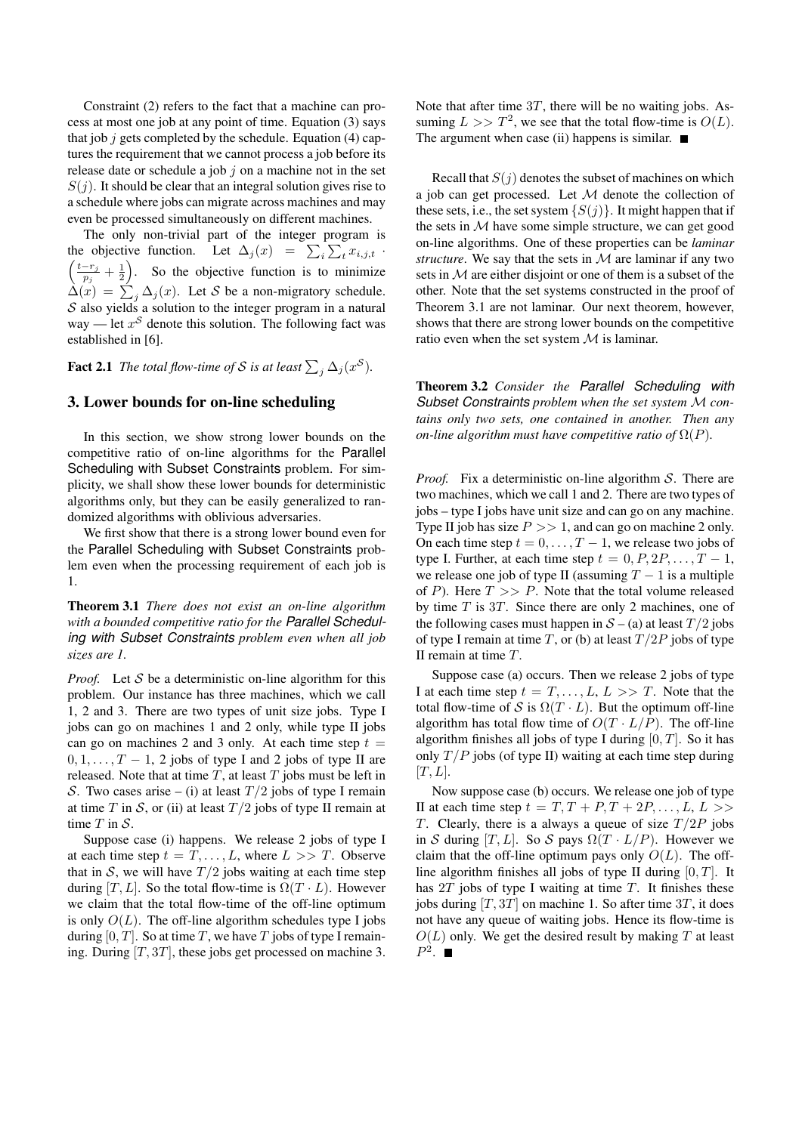Constraint (2) refers to the fact that a machine can process at most one job at any point of time. Equation (3) says that job  $j$  gets completed by the schedule. Equation (4) captures the requirement that we cannot process a job before its release date or schedule a job  $j$  on a machine not in the set  $S(j)$ . It should be clear that an integral solution gives rise to a schedule where jobs can migrate across machines and may even be processed simultaneously on different machines.

The only non-trivial part of the integer program is the objective function. Let  $\Delta_j(x) = \sum_i \sum_t x_{i,j,t}$ .  $\int \frac{t-r_j}{g}$  $\left(\frac{-r_j}{p_j} + \frac{1}{2}\right)$ . So the objective function is to minimize  $\Delta(x) = \sum_j \Delta_j(x)$ . Let S be a non-migratory schedule.  $S$  also yields a solution to the integer program in a natural way — let  $x^S$  denote this solution. The following fact was established in [6].

**Fact 2.1** *The total flow-time of S is at least*  $\sum_j \Delta_j(x^{\mathcal{S}})$ *.* 

## 3. Lower bounds for on-line scheduling

In this section, we show strong lower bounds on the competitive ratio of on-line algorithms for the Parallel Scheduling with Subset Constraints problem. For simplicity, we shall show these lower bounds for deterministic algorithms only, but they can be easily generalized to randomized algorithms with oblivious adversaries.

We first show that there is a strong lower bound even for the Parallel Scheduling with Subset Constraints problem even when the processing requirement of each job is 1.

Theorem 3.1 *There does not exist an on-line algorithm with a bounded competitive ratio for the Parallel Scheduling with Subset Constraints problem even when all job sizes are 1.*

*Proof.* Let S be a deterministic on-line algorithm for this problem. Our instance has three machines, which we call 1, 2 and 3. There are two types of unit size jobs. Type I jobs can go on machines 1 and 2 only, while type II jobs can go on machines 2 and 3 only. At each time step  $t =$  $0, 1, \ldots, T-1$ , 2 jobs of type I and 2 jobs of type II are released. Note that at time  $T$ , at least  $T$  jobs must be left in S. Two cases arise – (i) at least  $T/2$  jobs of type I remain at time T in S, or (ii) at least  $T/2$  jobs of type II remain at time  $T$  in  $S$ .

Suppose case (i) happens. We release 2 jobs of type I at each time step  $t = T, \ldots, L$ , where  $L >> T$ . Observe that in S, we will have  $T/2$  jobs waiting at each time step during [T, L]. So the total flow-time is  $\Omega(T \cdot L)$ . However we claim that the total flow-time of the off-line optimum is only  $O(L)$ . The off-line algorithm schedules type I jobs during  $[0, T]$ . So at time T, we have T jobs of type I remaining. During  $[T, 3T]$ , these jobs get processed on machine 3. Note that after time  $3T$ , there will be no waiting jobs. Assuming  $L \gg T^2$ , we see that the total flow-time is  $O(L)$ . The argument when case (ii) happens is similar.  $\blacksquare$ 

Recall that  $S(j)$  denotes the subset of machines on which a job can get processed. Let  $M$  denote the collection of these sets, i.e., the set system  $\{S(j)\}\$ . It might happen that if the sets in  $M$  have some simple structure, we can get good on-line algorithms. One of these properties can be *laminar structure*. We say that the sets in  $M$  are laminar if any two sets in  $M$  are either disjoint or one of them is a subset of the other. Note that the set systems constructed in the proof of Theorem 3.1 are not laminar. Our next theorem, however, shows that there are strong lower bounds on the competitive ratio even when the set system  $M$  is laminar.

Theorem 3.2 *Consider the Parallel Scheduling with Subset Constraints problem when the set system* M *contains only two sets, one contained in another. Then any on-line algorithm must have competitive ratio of*  $\Omega(P)$ *.* 

*Proof.* Fix a deterministic on-line algorithm S. There are two machines, which we call 1 and 2. There are two types of jobs – type I jobs have unit size and can go on any machine. Type II job has size  $P \gg 1$ , and can go on machine 2 only. On each time step  $t = 0, \ldots, T - 1$ , we release two jobs of type I. Further, at each time step  $t = 0, P, 2P, \ldots, T - 1$ , we release one job of type II (assuming  $T - 1$  is a multiple of P). Here  $T >> P$ . Note that the total volume released by time  $T$  is  $3T$ . Since there are only 2 machines, one of the following cases must happen in  $S - (a)$  at least  $T/2$  jobs of type I remain at time T, or (b) at least  $T/2P$  jobs of type II remain at time T.

Suppose case (a) occurs. Then we release 2 jobs of type I at each time step  $t = T, \ldots, L, L \gg T$ . Note that the total flow-time of S is  $\Omega(T \cdot L)$ . But the optimum off-line algorithm has total flow time of  $O(T \cdot L/P)$ . The off-line algorithm finishes all jobs of type I during  $[0, T]$ . So it has only  $T/P$  jobs (of type II) waiting at each time step during  $[T, L]$ .

Now suppose case (b) occurs. We release one job of type II at each time step  $t = T, T + P, T + 2P, \ldots, L, L \gg$ T. Clearly, there is a always a queue of size  $T/2P$  jobs in S during  $[T, L]$ . So S pays  $\Omega(T \cdot L/P)$ . However we claim that the off-line optimum pays only  $O(L)$ . The offline algorithm finishes all jobs of type II during  $[0, T]$ . It has  $2T$  jobs of type I waiting at time T. It finishes these jobs during  $[T, 3T]$  on machine 1. So after time  $3T$ , it does not have any queue of waiting jobs. Hence its flow-time is  $O(L)$  only. We get the desired result by making T at least  $P^2$ .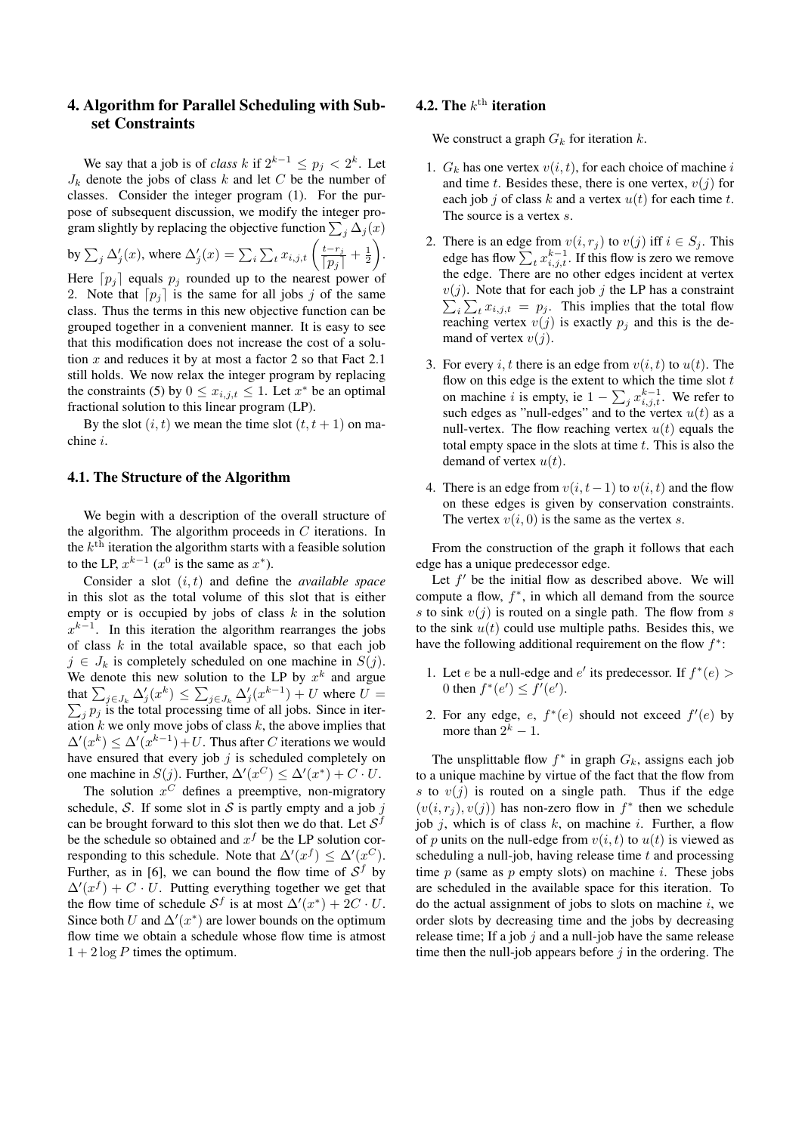## 4. Algorithm for Parallel Scheduling with Subset Constraints

We say that a job is of *class* k if  $2^{k-1} \le p_j < 2^k$ . Let  $J_k$  denote the jobs of class k and let C be the number of classes. Consider the integer program (1). For the purpose of subsequent discussion, we modify the integer program slightly by replacing the objective function  $\sum_j \Delta_j(x)$ 

by  $\sum_j \Delta'_j(x)$ , where  $\Delta'_j(x) = \sum_i \sum_t x_{i,j,t} \left( \frac{t-r_j}{\lceil n_j \rceil} \right)$  $\frac{t-r_j}{\lceil p_j \rceil} + \frac{1}{2}$  . Here  $[p_i]$  equals  $p_j$  rounded up to the nearest power of 2. Note that  $[p_i]$  is the same for all jobs j of the same class. Thus the terms in this new objective function can be grouped together in a convenient manner. It is easy to see that this modification does not increase the cost of a solution  $x$  and reduces it by at most a factor 2 so that Fact 2.1 still holds. We now relax the integer program by replacing the constraints (5) by  $0 \le x_{i,j,t} \le 1$ . Let  $x^*$  be an optimal fractional solution to this linear program (LP).

By the slot  $(i, t)$  we mean the time slot  $(t, t + 1)$  on machine i.

### 4.1. The Structure of the Algorithm

We begin with a description of the overall structure of the algorithm. The algorithm proceeds in  $C$  iterations. In the  $k^{\text{th}}$  iteration the algorithm starts with a feasible solution to the LP,  $x^{k-1}$  ( $x^0$  is the same as  $x^*$ ).

Consider a slot (i, t) and define the *available space* in this slot as the total volume of this slot that is either empty or is occupied by jobs of class  $k$  in the solution  $x^{k-1}$ . In this iteration the algorithm rearranges the jobs of class  $k$  in the total available space, so that each job  $j \in J_k$  is completely scheduled on one machine in  $S(j)$ . We denote this new solution to the LP by  $x^k$  and argue that  $\sum_{j\in J_k} \Delta'_j(x^k) \leq \sum_{j\in J_k} \Delta'_j(x^{k-1})$ P  $+U$  where  $U=$  $j$   $p_j$  is the total processing time of all jobs. Since in iteration  $k$  we only move jobs of class  $k$ , the above implies that  $\Delta'(x^k) \leq \Delta'(x^{k-1}) + U$ . Thus after C iterations we would have ensured that every job  $j$  is scheduled completely on one machine in  $S(j)$ . Further,  $\Delta'(x^C) \leq \Delta'(x^*) + C \cdot U$ .

The solution  $x^C$  defines a preemptive, non-migratory schedule, S. If some slot in S is partly empty and a job j can be brought forward to this slot then we do that. Let  $S<sup>f</sup>$ be the schedule so obtained and  $x<sup>f</sup>$  be the LP solution corresponding to this schedule. Note that  $\Delta'(x^f) \leq \Delta'(x^C)$ . Further, as in [6], we can bound the flow time of  $S<sup>f</sup>$  by  $\Delta'(x^f) + C \cdot U$ . Putting everything together we get that the flow time of schedule  $S^f$  is at most  $\Delta'(x^*) + 2C \cdot U$ . Since both U and  $\Delta'(x^*)$  are lower bounds on the optimum flow time we obtain a schedule whose flow time is atmost  $1 + 2 \log P$  times the optimum.

## 4.2. The  $k^{\text{th}}$  iteration

We construct a graph  $G_k$  for iteration  $k$ .

- 1.  $G_k$  has one vertex  $v(i, t)$ , for each choice of machine i and time t. Besides these, there is one vertex,  $v(j)$  for each job j of class k and a vertex  $u(t)$  for each time t. The source is a vertex s.
- 2. There is an edge from  $v(i, r_j)$  to  $v(j)$  iff  $i \in S_j$ . This edge has flow  $\sum_{t} x_{i,j,t}^{k-1}$ . If this flow is zero we remove the edge. There are no other edges incident at vertex  $v(j)$ . Note that for each job j the LP has a constraint  $\sum_i \sum_t x_{i,j,t} = p_j$ . This implies that the total flow reaching vertex  $v(j)$  is exactly  $p_j$  and this is the demand of vertex  $v(j)$ .
- 3. For every i, t there is an edge from  $v(i, t)$  to  $u(t)$ . The flow on this edge is the extent to which the time slot  $t$ on machine *i* is empty, ie  $1 - \sum_j x_{i,j,t}^{k-1}$ . We refer to such edges as "null-edges" and to the vertex  $u(t)$  as a null-vertex. The flow reaching vertex  $u(t)$  equals the total empty space in the slots at time  $t$ . This is also the demand of vertex  $u(t)$ .
- 4. There is an edge from  $v(i, t-1)$  to  $v(i, t)$  and the flow on these edges is given by conservation constraints. The vertex  $v(i, 0)$  is the same as the vertex s.

From the construction of the graph it follows that each edge has a unique predecessor edge.

Let  $f'$  be the initial flow as described above. We will compute a flow,  $f^*$ , in which all demand from the source s to sink  $v(j)$  is routed on a single path. The flow from s to the sink  $u(t)$  could use multiple paths. Besides this, we have the following additional requirement on the flow  $f^*$ :

- 1. Let *e* be a null-edge and  $e'$  its predecessor. If  $f^*(e)$ 0 then  $f^*(e') \le f'(e')$ .
- 2. For any edge,  $e$ ,  $f^*(e)$  should not exceed  $f'(e)$  by more than  $2^k - 1$ .

The unsplittable flow  $f^*$  in graph  $G_k$ , assigns each job to a unique machine by virtue of the fact that the flow from s to  $v(j)$  is routed on a single path. Thus if the edge  $(v(i, r_j), v(j))$  has non-zero flow in  $f^*$  then we schedule job j, which is of class  $k$ , on machine i. Further, a flow of p units on the null-edge from  $v(i, t)$  to  $u(t)$  is viewed as scheduling a null-job, having release time  $t$  and processing time  $p$  (same as  $p$  empty slots) on machine  $i$ . These jobs are scheduled in the available space for this iteration. To do the actual assignment of jobs to slots on machine  $i$ , we order slots by decreasing time and the jobs by decreasing release time; If a job  $i$  and a null-job have the same release time then the null-job appears before  $i$  in the ordering. The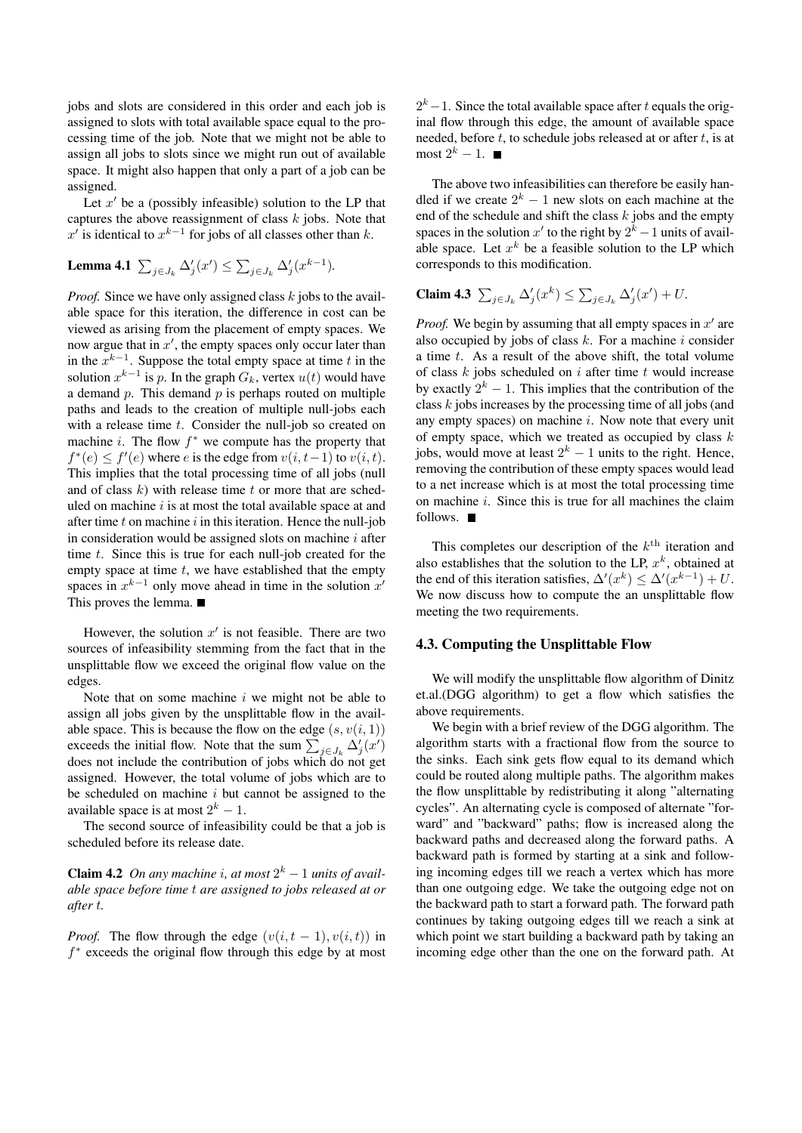jobs and slots are considered in this order and each job is assigned to slots with total available space equal to the processing time of the job. Note that we might not be able to assign all jobs to slots since we might run out of available space. It might also happen that only a part of a job can be assigned.

Let  $x'$  be a (possibly infeasible) solution to the LP that captures the above reassignment of class  $k$  jobs. Note that  $x'$  is identical to  $x^{k-1}$  for jobs of all classes other than k.

**Lemma 4.1** 
$$
\sum_{j\in J_k} \Delta'_j(x') \leq \sum_{j\in J_k} \Delta'_j(x^{k-1}).
$$

*Proof.* Since we have only assigned class k jobs to the available space for this iteration, the difference in cost can be viewed as arising from the placement of empty spaces. We now argue that in  $x'$ , the empty spaces only occur later than in the  $x^{k-1}$ . Suppose the total empty space at time t in the solution  $x^{k-1}$  is p. In the graph  $G_k$ , vertex  $u(t)$  would have a demand  $p$ . This demand  $p$  is perhaps routed on multiple paths and leads to the creation of multiple null-jobs each with a release time  $t$ . Consider the null-job so created on machine  $i$ . The flow  $f^*$  we compute has the property that  $f^*(e) \le f'(e)$  where  $e$  is the edge from  $v(i, t-1)$  to  $v(i, t)$ . This implies that the total processing time of all jobs (null and of class  $k$ ) with release time  $t$  or more that are scheduled on machine  $i$  is at most the total available space at and after time  $t$  on machine  $i$  in this iteration. Hence the null-job in consideration would be assigned slots on machine  $i$  after time  $t$ . Since this is true for each null-job created for the empty space at time  $t$ , we have established that the empty spaces in  $x^{k-1}$  only move ahead in time in the solution  $x'$ This proves the lemma.

However, the solution  $x'$  is not feasible. There are two sources of infeasibility stemming from the fact that in the unsplittable flow we exceed the original flow value on the edges.

Note that on some machine  $i$  we might not be able to assign all jobs given by the unsplittable flow in the available space. This is because the flow on the edge  $(s, v(i, 1))$ exceeds the initial flow. Note that the sum  $\sum_{j \in J_k} \Delta'_j(x')$ does not include the contribution of jobs which do not get assigned. However, the total volume of jobs which are to be scheduled on machine  $i$  but cannot be assigned to the available space is at most  $2^k - 1$ .

The second source of infeasibility could be that a job is scheduled before its release date.

**Claim 4.2** On any machine i, at most  $2^k - 1$  units of avail*able space before time* t *are assigned to jobs released at or after* t*.*

*Proof.* The flow through the edge  $(v(i, t - 1), v(i, t))$  in f ∗ exceeds the original flow through this edge by at most

 $2<sup>k</sup> - 1$ . Since the total available space after t equals the original flow through this edge, the amount of available space needed, before  $t$ , to schedule jobs released at or after  $t$ , is at most  $2^k - 1$ .

The above two infeasibilities can therefore be easily handled if we create  $2^k - 1$  new slots on each machine at the end of the schedule and shift the class  $k$  jobs and the empty spaces in the solution  $x'$  to the right by  $2^k - 1$  units of available space. Let  $x^k$  be a feasible solution to the LP which corresponds to this modification.

$$
\textbf{Claim 4.3} \ \sum_{j \in J_k} \Delta'_j(x^k) \le \sum_{j \in J_k} \Delta'_j(x') + U.
$$

*Proof.* We begin by assuming that all empty spaces in  $x'$  are also occupied by jobs of class  $k$ . For a machine  $i$  consider a time  $t$ . As a result of the above shift, the total volume of class  $k$  jobs scheduled on  $i$  after time  $t$  would increase by exactly  $2^k - 1$ . This implies that the contribution of the class  $k$  jobs increases by the processing time of all jobs (and any empty spaces) on machine  $i$ . Now note that every unit of empty space, which we treated as occupied by class  $k$ jobs, would move at least  $2^k - 1$  units to the right. Hence, removing the contribution of these empty spaces would lead to a net increase which is at most the total processing time on machine i. Since this is true for all machines the claim follows.

This completes our description of the  $k^{\text{th}}$  iteration and also establishes that the solution to the LP,  $x^k$ , obtained at the end of this iteration satisfies,  $\Delta'(x^k) \leq \Delta'(x^{k-1}) + U$ . We now discuss how to compute the an unsplittable flow meeting the two requirements.

## 4.3. Computing the Unsplittable Flow

We will modify the unsplittable flow algorithm of Dinitz et.al.(DGG algorithm) to get a flow which satisfies the above requirements.

We begin with a brief review of the DGG algorithm. The algorithm starts with a fractional flow from the source to the sinks. Each sink gets flow equal to its demand which could be routed along multiple paths. The algorithm makes the flow unsplittable by redistributing it along "alternating cycles". An alternating cycle is composed of alternate "forward" and "backward" paths; flow is increased along the backward paths and decreased along the forward paths. A backward path is formed by starting at a sink and following incoming edges till we reach a vertex which has more than one outgoing edge. We take the outgoing edge not on the backward path to start a forward path. The forward path continues by taking outgoing edges till we reach a sink at which point we start building a backward path by taking an incoming edge other than the one on the forward path. At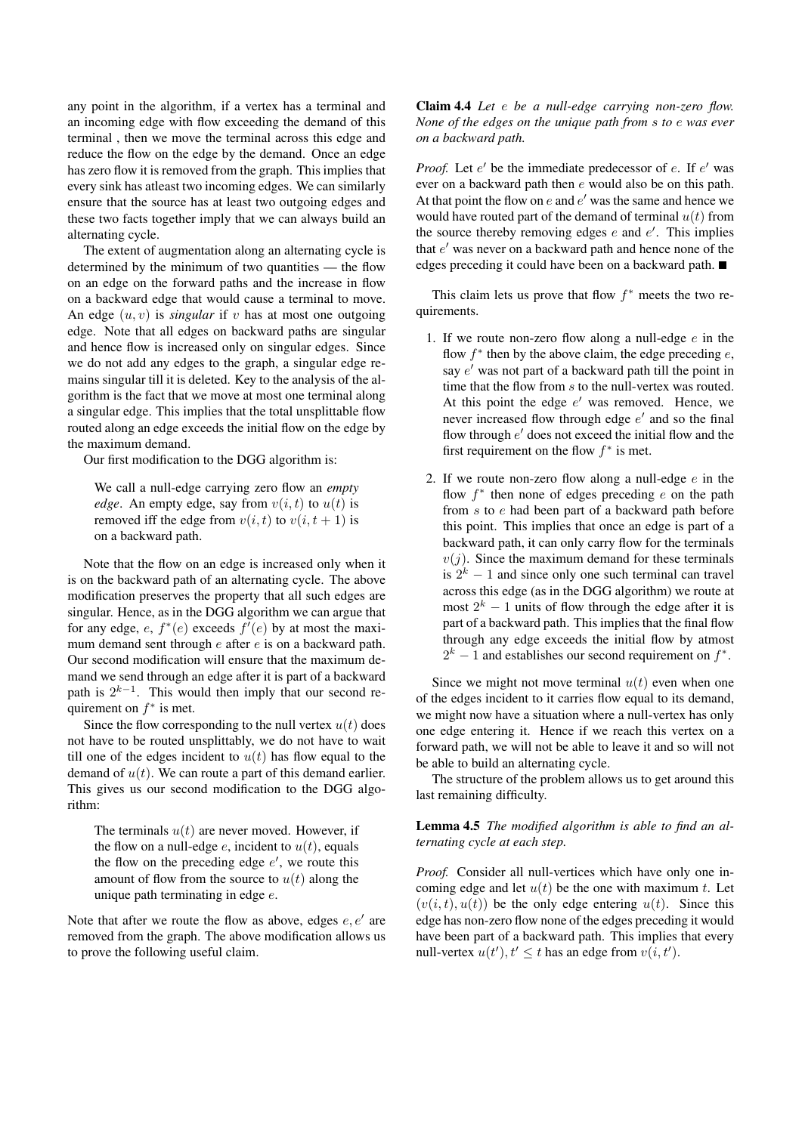any point in the algorithm, if a vertex has a terminal and an incoming edge with flow exceeding the demand of this terminal , then we move the terminal across this edge and reduce the flow on the edge by the demand. Once an edge has zero flow it is removed from the graph. This implies that every sink has atleast two incoming edges. We can similarly ensure that the source has at least two outgoing edges and these two facts together imply that we can always build an alternating cycle.

The extent of augmentation along an alternating cycle is determined by the minimum of two quantities — the flow on an edge on the forward paths and the increase in flow on a backward edge that would cause a terminal to move. An edge  $(u, v)$  is *singular* if v has at most one outgoing edge. Note that all edges on backward paths are singular and hence flow is increased only on singular edges. Since we do not add any edges to the graph, a singular edge remains singular till it is deleted. Key to the analysis of the algorithm is the fact that we move at most one terminal along a singular edge. This implies that the total unsplittable flow routed along an edge exceeds the initial flow on the edge by the maximum demand.

Our first modification to the DGG algorithm is:

We call a null-edge carrying zero flow an *empty edge*. An empty edge, say from  $v(i, t)$  to  $u(t)$  is removed iff the edge from  $v(i, t)$  to  $v(i, t + 1)$  is on a backward path.

Note that the flow on an edge is increased only when it is on the backward path of an alternating cycle. The above modification preserves the property that all such edges are singular. Hence, as in the DGG algorithm we can argue that for any edge,  $e, f^*(e)$  exceeds  $f'(e)$  by at most the maximum demand sent through  $e$  after  $e$  is on a backward path. Our second modification will ensure that the maximum demand we send through an edge after it is part of a backward path is  $2^{k-1}$ . This would then imply that our second requirement on  $f^*$  is met.

Since the flow corresponding to the null vertex  $u(t)$  does not have to be routed unsplittably, we do not have to wait till one of the edges incident to  $u(t)$  has flow equal to the demand of  $u(t)$ . We can route a part of this demand earlier. This gives us our second modification to the DGG algorithm:

The terminals  $u(t)$  are never moved. However, if the flow on a null-edge  $e$ , incident to  $u(t)$ , equals the flow on the preceding edge  $e'$ , we route this amount of flow from the source to  $u(t)$  along the unique path terminating in edge  $e$ .

Note that after we route the flow as above, edges  $e, e'$  are removed from the graph. The above modification allows us to prove the following useful claim.

Claim 4.4 *Let* e *be a null-edge carrying non-zero flow. None of the edges on the unique path from* s *to* e *was ever on a backward path.*

*Proof.* Let  $e'$  be the immediate predecessor of  $e$ . If  $e'$  was ever on a backward path then e would also be on this path. At that point the flow on  $e$  and  $e'$  was the same and hence we would have routed part of the demand of terminal  $u(t)$  from the source thereby removing edges  $e$  and  $e'$ . This implies that  $e'$  was never on a backward path and hence none of the edges preceding it could have been on a backward path.

This claim lets us prove that flow  $f^*$  meets the two requirements.

- 1. If we route non-zero flow along a null-edge  $e$  in the flow  $f^*$  then by the above claim, the edge preceding  $e$ , say  $e'$  was not part of a backward path till the point in time that the flow from s to the null-vertex was routed. At this point the edge  $e'$  was removed. Hence, we never increased flow through edge  $e'$  and so the final flow through  $e'$  does not exceed the initial flow and the first requirement on the flow  $f^*$  is met.
- 2. If we route non-zero flow along a null-edge  $e$  in the flow  $f^*$  then none of edges preceding  $e$  on the path from s to e had been part of a backward path before this point. This implies that once an edge is part of a backward path, it can only carry flow for the terminals  $v(j)$ . Since the maximum demand for these terminals is  $2^k - 1$  and since only one such terminal can travel across this edge (as in the DGG algorithm) we route at most  $2^k - 1$  units of flow through the edge after it is part of a backward path. This implies that the final flow through any edge exceeds the initial flow by atmost  $2^k - 1$  and establishes our second requirement on  $f^*$ .

Since we might not move terminal  $u(t)$  even when one of the edges incident to it carries flow equal to its demand, we might now have a situation where a null-vertex has only one edge entering it. Hence if we reach this vertex on a forward path, we will not be able to leave it and so will not be able to build an alternating cycle.

The structure of the problem allows us to get around this last remaining difficulty.

#### Lemma 4.5 *The modified algorithm is able to find an alternating cycle at each step.*

*Proof.* Consider all null-vertices which have only one incoming edge and let  $u(t)$  be the one with maximum t. Let  $(v(i, t), u(t))$  be the only edge entering  $u(t)$ . Since this edge has non-zero flow none of the edges preceding it would have been part of a backward path. This implies that every null-vertex  $u(t')$ ,  $t' \leq t$  has an edge from  $v(i, t')$ .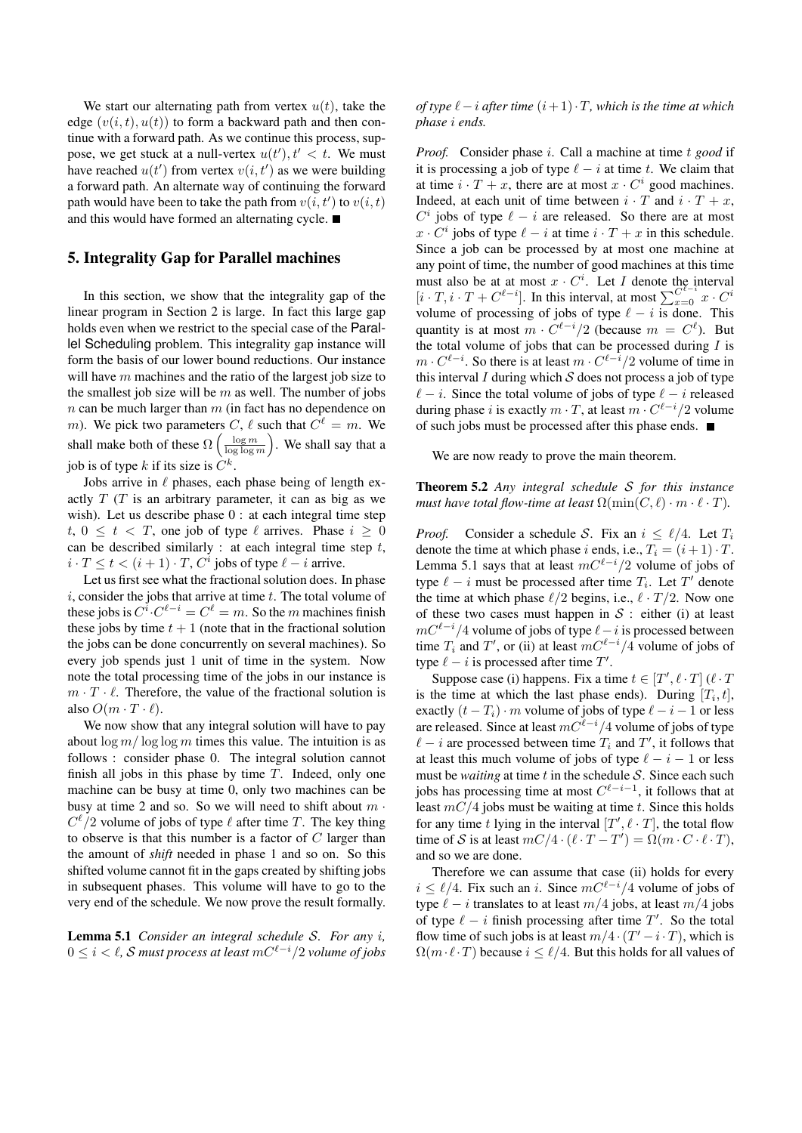We start our alternating path from vertex  $u(t)$ , take the edge  $(v(i, t), u(t))$  to form a backward path and then continue with a forward path. As we continue this process, suppose, we get stuck at a null-vertex  $u(t')$ ,  $t' < t$ . We must have reached  $u(t')$  from vertex  $v(i, t')$  as we were building a forward path. An alternate way of continuing the forward path would have been to take the path from  $v(i, t')$  to  $v(i, t)$ and this would have formed an alternating cycle.

## 5. Integrality Gap for Parallel machines

In this section, we show that the integrality gap of the linear program in Section 2 is large. In fact this large gap holds even when we restrict to the special case of the Parallel Scheduling problem. This integrality gap instance will form the basis of our lower bound reductions. Our instance will have  $m$  machines and the ratio of the largest job size to the smallest job size will be  $m$  as well. The number of jobs  $n$  can be much larger than  $m$  (in fact has no dependence on m). We pick two parameters C,  $\ell$  such that  $C^{\ell} = m$ . We shall make both of these  $\Omega\left(\frac{\log m}{\log\log m}\right)$ . We shall say that a job is of type k if its size is  $C^k$ .

Jobs arrive in  $\ell$  phases, each phase being of length exactly  $T(T)$  is an arbitrary parameter, it can as big as we wish). Let us describe phase  $0:$  at each integral time step  $t, 0 \leq t < T$ , one job of type  $\ell$  arrives. Phase  $i \geq 0$ can be described similarly : at each integral time step  $t$ ,  $i \cdot T \le t < (i + 1) \cdot T$ ,  $C^i$  jobs of type  $\ell - i$  arrive.

Let us first see what the fractional solution does. In phase  $i$ , consider the jobs that arrive at time  $t$ . The total volume of these jobs is  $C^i \cdot C^{\ell - i} = C^{\ell} = m$ . So the m machines finish these jobs by time  $t + 1$  (note that in the fractional solution the jobs can be done concurrently on several machines). So every job spends just 1 unit of time in the system. Now note the total processing time of the jobs in our instance is  $m \cdot T \cdot \ell$ . Therefore, the value of the fractional solution is also  $O(m \cdot T \cdot \ell)$ .

We now show that any integral solution will have to pay about  $\log m / \log \log m$  times this value. The intuition is as follows : consider phase 0. The integral solution cannot finish all jobs in this phase by time  $T$ . Indeed, only one machine can be busy at time 0, only two machines can be busy at time 2 and so. So we will need to shift about  $m \cdot$  $C^{\ell}/2$  volume of jobs of type  $\ell$  after time T. The key thing to observe is that this number is a factor of  $C$  larger than the amount of *shift* needed in phase 1 and so on. So this shifted volume cannot fit in the gaps created by shifting jobs in subsequent phases. This volume will have to go to the very end of the schedule. We now prove the result formally.

Lemma 5.1 *Consider an integral schedule* S*. For any* i*,* 0 ≤ i < `*,* S *must process at least* mC`−<sup>i</sup>/2 *volume of jobs* *of type*  $\ell - i$  *after time*  $(i + 1) \cdot T$ *, which is the time at which phase* i *ends.*

*Proof.* Consider phase i. Call a machine at time t good if it is processing a job of type  $\ell - i$  at time t. We claim that at time  $i \cdot T + x$ , there are at most  $x \cdot C^i$  good machines. Indeed, at each unit of time between  $i \cdot T$  and  $i \cdot T + x$ ,  $C<sup>i</sup>$  jobs of type  $\ell - i$  are released. So there are at most  $x \cdot C^i$  jobs of type  $\ell - i$  at time  $i \cdot T + x$  in this schedule. Since a job can be processed by at most one machine at any point of time, the number of good machines at this time must also be at at most  $x \cdot C^i$ . Let I denote the interval  $[i \cdot T, i \cdot T + C^{\ell-i}]$ . In this interval, at most  $\sum_{x=0}^{C^{\ell-i}} x \cdot C^i$ volume of processing of jobs of type  $\ell - i$  is done. This quantity is at most  $m \cdot C^{\ell-i}/2$  (because  $m = C^{\ell}$ ). But the total volume of jobs that can be processed during  $I$  is  $m \cdot C^{\ell-i}$ . So there is at least  $m \cdot C^{\ell-i}/2$  volume of time in this interval I during which  $S$  does not process a job of type  $\ell - i$ . Since the total volume of jobs of type  $\ell - i$  released during phase i is exactly  $m \cdot T$ , at least  $m \cdot C^{\ell-i}/2$  volume of such jobs must be processed after this phase ends.

We are now ready to prove the main theorem.

#### Theorem 5.2 *Any integral schedule* S *for this instance must have total flow-time at least*  $\Omega(\min(C, \ell) \cdot m \cdot \ell \cdot T)$ *.*

*Proof.* Consider a schedule S. Fix an  $i \leq \ell/4$ . Let  $T_i$ denote the time at which phase i ends, i.e.,  $T_i = (i + 1) \cdot T$ . Lemma 5.1 says that at least  $mC^{\ell-i}/2$  volume of jobs of type  $\ell - i$  must be processed after time  $T_i$ . Let  $T'$  denote the time at which phase  $\ell/2$  begins, i.e.,  $\ell \cdot T/2$ . Now one of these two cases must happen in  $S$ : either (i) at least  $mC^{\ell-i}/4$  volume of jobs of type  $\ell-i$  is processed between time  $T_i$  and  $T'$ , or (ii) at least  $mC^{\ell-i}/4$  volume of jobs of type  $\ell - i$  is processed after time  $T'$ .

Suppose case (i) happens. Fix a time  $t \in [T', \ell \cdot T]$  ( $\ell \cdot T$ is the time at which the last phase ends). During  $[T_i, t]$ , exactly  $(t - T_i) \cdot m$  volume of jobs of type  $\ell - i - 1$  or less are released. Since at least  $mC^{\ell-i}/4$  volume of jobs of type  $\ell - i$  are processed between time  $T_i$  and  $T'$ , it follows that at least this much volume of jobs of type  $\ell - i - 1$  or less must be *waiting* at time  $t$  in the schedule  $S$ . Since each such jobs has processing time at most  $C^{\ell-i-1}$ , it follows that at least  $mC/4$  jobs must be waiting at time t. Since this holds for any time t lying in the interval  $[T', \ell \cdot T]$ , the total flow time of S is at least  $mC/4 \cdot (\ell \cdot T - T') = \Omega(m \cdot C \cdot \ell \cdot T),$ and so we are done.

Therefore we can assume that case (ii) holds for every  $i \le \ell/4$ . Fix such an i. Since  $mC^{\ell-i}/4$  volume of jobs of type  $\ell - i$  translates to at least  $m/4$  jobs, at least  $m/4$  jobs of type  $\ell - i$  finish processing after time  $T'$ . So the total flow time of such jobs is at least  $m/4 \cdot (T' - i \cdot T)$ , which is  $\Omega(m \cdot \ell \cdot T)$  because  $i \leq \ell/4$ . But this holds for all values of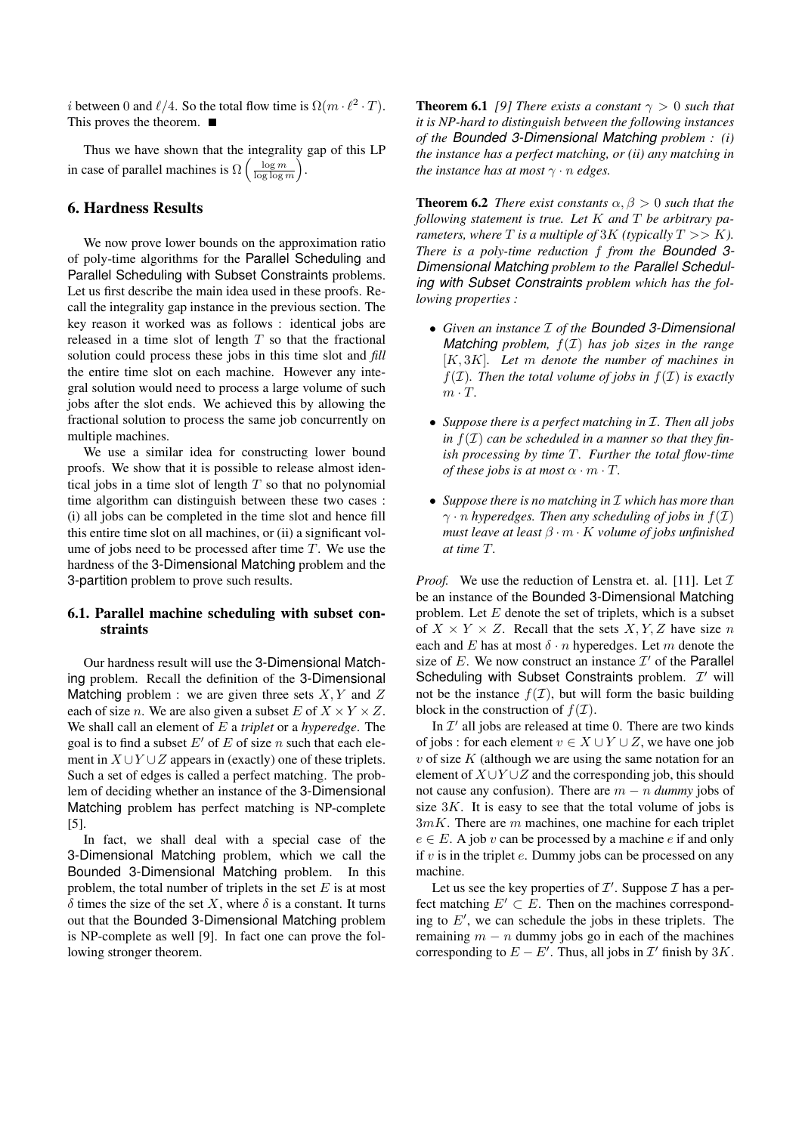*i* between 0 and  $\ell/4$ . So the total flow time is  $\Omega(m \cdot \ell^2 \cdot T)$ . This proves the theorem.

Thus we have shown that the integrality gap of this LP in case of parallel machines is  $\Omega\left(\frac{\log m}{\log \log m}\right)$ .

### 6. Hardness Results

We now prove lower bounds on the approximation ratio of poly-time algorithms for the Parallel Scheduling and Parallel Scheduling with Subset Constraints problems. Let us first describe the main idea used in these proofs. Recall the integrality gap instance in the previous section. The key reason it worked was as follows : identical jobs are released in a time slot of length  $T$  so that the fractional solution could process these jobs in this time slot and *fill* the entire time slot on each machine. However any integral solution would need to process a large volume of such jobs after the slot ends. We achieved this by allowing the fractional solution to process the same job concurrently on multiple machines.

We use a similar idea for constructing lower bound proofs. We show that it is possible to release almost identical jobs in a time slot of length  $T$  so that no polynomial time algorithm can distinguish between these two cases : (i) all jobs can be completed in the time slot and hence fill this entire time slot on all machines, or (ii) a significant volume of jobs need to be processed after time  $T$ . We use the hardness of the 3-Dimensional Matching problem and the 3-partition problem to prove such results.

## 6.1. Parallel machine scheduling with subset constraints

Our hardness result will use the 3-Dimensional Matching problem. Recall the definition of the 3-Dimensional Matching problem : we are given three sets  $X, Y$  and  $Z$ each of size *n*. We are also given a subset E of  $X \times Y \times Z$ . We shall call an element of E a *triplet* or a *hyperedge*. The goal is to find a subset  $E'$  of E of size n such that each element in  $X \cup Y \cup Z$  appears in (exactly) one of these triplets. Such a set of edges is called a perfect matching. The problem of deciding whether an instance of the 3-Dimensional Matching problem has perfect matching is NP-complete [5].

In fact, we shall deal with a special case of the 3-Dimensional Matching problem, which we call the Bounded 3-Dimensional Matching problem. In this problem, the total number of triplets in the set  $E$  is at most  $\delta$  times the size of the set X, where  $\delta$  is a constant. It turns out that the Bounded 3-Dimensional Matching problem is NP-complete as well [9]. In fact one can prove the following stronger theorem.

**Theorem 6.1** *[9] There exists a constant*  $\gamma > 0$  *such that it is NP-hard to distinguish between the following instances of the Bounded 3-Dimensional Matching problem : (i) the instance has a perfect matching, or (ii) any matching in the instance has at most*  $\gamma \cdot n$  *edges.* 

**Theorem 6.2** *There exist constants*  $\alpha, \beta > 0$  *such that the following statement is true. Let* K *and* T *be arbitrary parameters, where*  $T$  *is a multiple of*  $3K$  *(typically*  $T >> K$ *). There is a poly-time reduction* f *from the Bounded 3- Dimensional Matching problem to the Parallel Scheduling with Subset Constraints problem which has the following properties :*

- *Given an instance* I *of the Bounded 3-Dimensional Matching problem,* f(I) *has job sizes in the range* [K, 3K]*. Let* m *denote the number of machines in*  $f(\mathcal{I})$ *. Then the total volume of jobs in*  $f(\mathcal{I})$  *is exactly*  $m \cdot T$ .
- *Suppose there is a perfect matching in* I*. Then all jobs* in  $f(T)$  can be scheduled in a manner so that they fin*ish processing by time* T*. Further the total flow-time of these jobs is at most*  $\alpha \cdot m \cdot T$ .
- *Suppose there is no matching in* I *which has more than*  $\gamma \cdot n$  *hyperedges. Then any scheduling of jobs in*  $f(\mathcal{I})$ *must leave at least* β · m · K *volume of jobs unfinished at time* T*.*

*Proof.* We use the reduction of Lenstra et. al. [11]. Let  $I$ be an instance of the Bounded 3-Dimensional Matching problem. Let  $E$  denote the set of triplets, which is a subset of  $X \times Y \times Z$ . Recall that the sets X, Y, Z have size n each and E has at most  $\delta \cdot n$  hyperedges. Let m denote the size of E. We now construct an instance  $\mathcal{I}'$  of the Parallel Scheduling with Subset Constraints problem.  $\mathcal{I}'$  will not be the instance  $f(\mathcal{I})$ , but will form the basic building block in the construction of  $f(\mathcal{I})$ .

In  $\mathcal{I}'$  all jobs are released at time 0. There are two kinds of jobs : for each element  $v \in X \cup Y \cup Z$ , we have one job  $v$  of size  $K$  (although we are using the same notation for an element of  $X \cup Y \cup Z$  and the corresponding job, this should not cause any confusion). There are m − n *dummy* jobs of size  $3K$ . It is easy to see that the total volume of jobs is  $3mK$ . There are m machines, one machine for each triplet  $e \in E$ . A job v can be processed by a machine e if and only if  $v$  is in the triplet  $e$ . Dummy jobs can be processed on any machine.

Let us see the key properties of  $\mathcal{I}'$ . Suppose  $\mathcal{I}$  has a perfect matching  $E' \subset E$ . Then on the machines corresponding to  $E'$ , we can schedule the jobs in these triplets. The remaining  $m - n$  dummy jobs go in each of the machines corresponding to  $E - E'$ . Thus, all jobs in  $\mathcal{I}'$  finish by  $3K$ .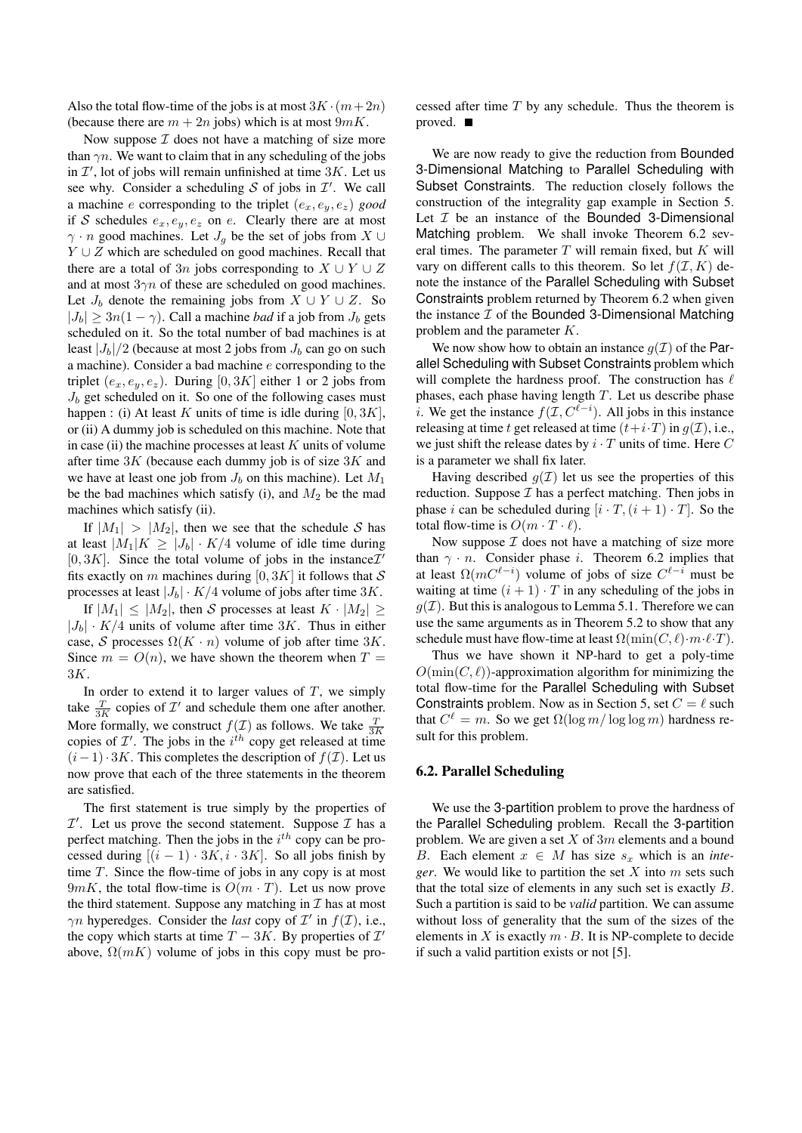Also the total flow-time of the jobs is at most  $3K \cdot (m+2n)$ (because there are  $m + 2n$  jobs) which is at most  $9mK$ .

Now suppose  $I$  does not have a matching of size more than  $\gamma n$ . We want to claim that in any scheduling of the jobs in  $\mathcal{I}'$ , lot of jobs will remain unfinished at time  $3K$ . Let us see why. Consider a scheduling  $S$  of jobs in  $\mathcal{I}'$ . We call a machine *e* corresponding to the triplet  $(e_x, e_y, e_z)$  *good* if S schedules  $e_x, e_y, e_z$  on e. Clearly there are at most  $\gamma \cdot n$  good machines. Let  $J_q$  be the set of jobs from  $X \cup$  $Y \cup Z$  which are scheduled on good machines. Recall that there are a total of 3n jobs corresponding to  $X \cup Y \cup Z$ and at most  $3\gamma n$  of these are scheduled on good machines. Let  $J_b$  denote the remaining jobs from  $X \cup Y \cup Z$ . So  $|J_b| \geq 3n(1-\gamma)$ . Call a machine *bad* if a job from  $J_b$  gets scheduled on it. So the total number of bad machines is at least  $|J_b|/2$  (because at most 2 jobs from  $J_b$  can go on such a machine). Consider a bad machine e corresponding to the triplet  $(e_x, e_y, e_z)$ . During  $[0, 3K]$  either 1 or 2 jobs from  $J<sub>b</sub>$  get scheduled on it. So one of the following cases must happen : (i) At least K units of time is idle during  $[0, 3K]$ , or (ii) A dummy job is scheduled on this machine. Note that in case (ii) the machine processes at least  $K$  units of volume after time  $3K$  (because each dummy job is of size  $3K$  and we have at least one job from  $J_b$  on this machine). Let  $M_1$ be the bad machines which satisfy (i), and  $M_2$  be the mad machines which satisfy (ii).

If  $|M_1| > |M_2|$ , then we see that the schedule S has at least  $|M_1|K \geq |J_b| \cdot K/4$  volume of idle time during  $[0, 3K]$ . Since the total volume of jobs in the instance  $\mathcal{I}'$ fits exactly on m machines during [0, 3K] it follows that  $S$ processes at least  $|J_b| \cdot K/4$  volume of jobs after time 3K.

If  $|M_1| \leq |M_2|$ , then S processes at least  $K \cdot |M_2| \geq$  $|J_b| \cdot K/4$  units of volume after time 3K. Thus in either case, S processes  $\Omega(K \cdot n)$  volume of job after time 3K. Since  $m = O(n)$ , we have shown the theorem when  $T =$ 3K.

In order to extend it to larger values of  $T$ , we simply take  $\frac{T}{3K}$  copies of  $\mathcal{I}'$  and schedule them one after another. More formally, we construct  $f(\mathcal{I})$  as follows. We take  $\frac{T}{3K}$ copies of  $\mathcal{I}'$ . The jobs in the  $i^{th}$  copy get released at time  $(i-1)$ · 3K. This completes the description of  $f(\mathcal{I})$ . Let us now prove that each of the three statements in the theorem are satisfied.

The first statement is true simply by the properties of  $\mathcal{I}'$ . Let us prove the second statement. Suppose  $\mathcal I$  has a perfect matching. Then the jobs in the  $i^{th}$  copy can be processed during  $[(i - 1) \cdot 3K, i \cdot 3K]$ . So all jobs finish by time T. Since the flow-time of jobs in any copy is at most  $9mK$ , the total flow-time is  $O(m \cdot T)$ . Let us now prove the third statement. Suppose any matching in  $\mathcal I$  has at most  $\gamma n$  hyperedges. Consider the *last* copy of  $\mathcal{I}'$  in  $f(\mathcal{I})$ , i.e., the copy which starts at time  $T - 3K$ . By properties of  $\mathcal{I}'$ above,  $\Omega(mK)$  volume of jobs in this copy must be processed after time  $T$  by any schedule. Thus the theorem is proved.

We are now ready to give the reduction from Bounded 3-Dimensional Matching to Parallel Scheduling with Subset Constraints. The reduction closely follows the construction of the integrality gap example in Section 5. Let  $I$  be an instance of the Bounded 3-Dimensional Matching problem. We shall invoke Theorem 6.2 several times. The parameter  $T$  will remain fixed, but  $K$  will vary on different calls to this theorem. So let  $f(\mathcal{I}, K)$  denote the instance of the Parallel Scheduling with Subset Constraints problem returned by Theorem 6.2 when given the instance  $I$  of the Bounded 3-Dimensional Matching problem and the parameter K.

We now show how to obtain an instance  $q(\mathcal{I})$  of the Parallel Scheduling with Subset Constraints problem which will complete the hardness proof. The construction has  $\ell$ phases, each phase having length  $T$ . Let us describe phase i. We get the instance  $f(\mathcal{I}, C^{\ell-i})$ . All jobs in this instance releasing at time t get released at time  $(t+i\cdot T)$  in  $g(\mathcal{I})$ , i.e., we just shift the release dates by  $i \cdot T$  units of time. Here C is a parameter we shall fix later.

Having described  $g(\mathcal{I})$  let us see the properties of this reduction. Suppose  $\mathcal I$  has a perfect matching. Then jobs in phase i can be scheduled during  $[i \cdot T, (i + 1) \cdot T]$ . So the total flow-time is  $O(m \cdot T \cdot \ell)$ .

Now suppose  $I$  does not have a matching of size more than  $\gamma \cdot n$ . Consider phase *i*. Theorem 6.2 implies that at least  $\Omega(mC^{\ell-i})$  volume of jobs of size  $C^{\ell-i}$  must be waiting at time  $(i + 1) \cdot T$  in any scheduling of the jobs in  $g(\mathcal{I})$ . But this is analogous to Lemma 5.1. Therefore we can use the same arguments as in Theorem 5.2 to show that any schedule must have flow-time at least  $\Omega(\min(C, \ell) \cdot m \cdot \ell \cdot T)$ .

Thus we have shown it NP-hard to get a poly-time  $O(\min(C, \ell))$ -approximation algorithm for minimizing the total flow-time for the Parallel Scheduling with Subset Constraints problem. Now as in Section 5, set  $C = \ell$  such that  $C^{\ell} = m$ . So we get  $\Omega(\log m / \log \log m)$  hardness result for this problem.

### 6.2. Parallel Scheduling

We use the 3-partition problem to prove the hardness of the Parallel Scheduling problem. Recall the 3-partition problem. We are given a set  $X$  of  $3m$  elements and a bound B. Each element  $x \in M$  has size  $s_x$  which is an *integer.* We would like to partition the set  $X$  into  $m$  sets such that the total size of elements in any such set is exactly B. Such a partition is said to be *valid* partition. We can assume without loss of generality that the sum of the sizes of the elements in X is exactly  $m \cdot B$ . It is NP-complete to decide if such a valid partition exists or not [5].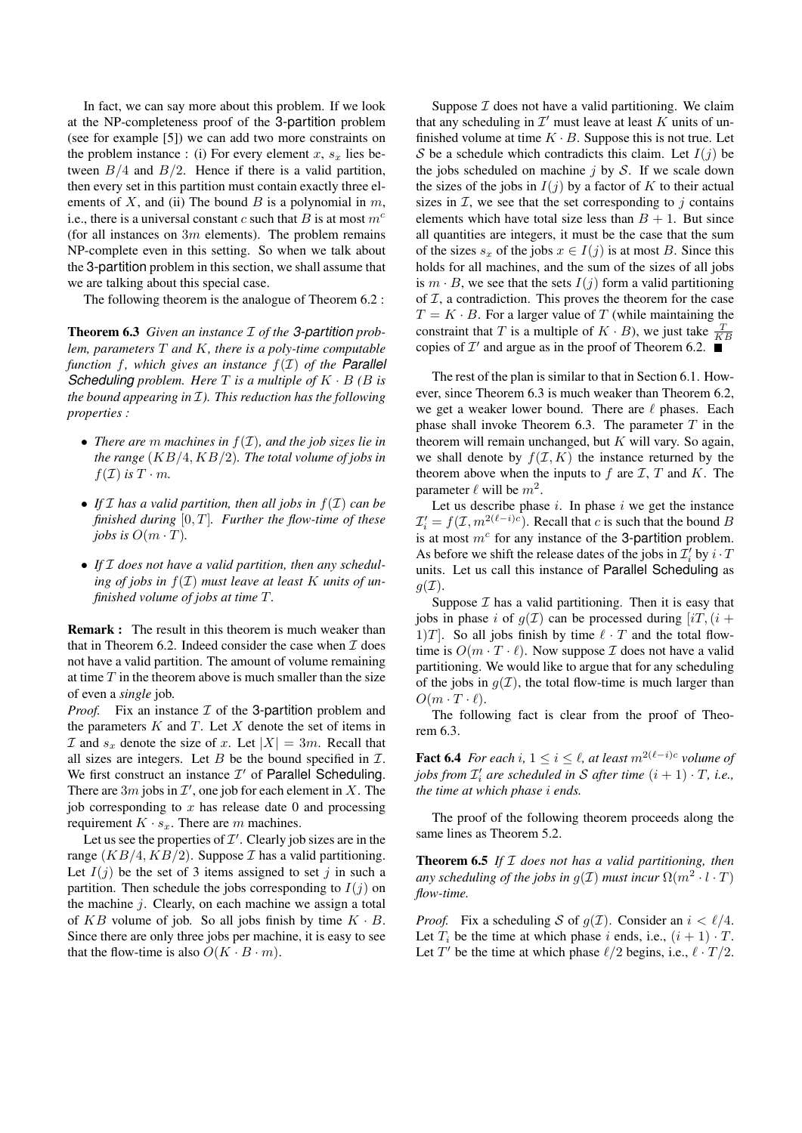In fact, we can say more about this problem. If we look at the NP-completeness proof of the 3-partition problem (see for example [5]) we can add two more constraints on the problem instance : (i) For every element x,  $s_x$  lies between  $B/4$  and  $B/2$ . Hence if there is a valid partition, then every set in this partition must contain exactly three elements of X, and (ii) The bound B is a polynomial in  $m$ , i.e., there is a universal constant c such that B is at most  $m<sup>c</sup>$ (for all instances on  $3m$  elements). The problem remains NP-complete even in this setting. So when we talk about the 3-partition problem in this section, we shall assume that we are talking about this special case.

The following theorem is the analogue of Theorem 6.2 :

Theorem 6.3 *Given an instance* I *of the 3-partition problem, parameters* T *and* K*, there is a poly-time computable function* f, which gives an instance  $f(\mathcal{I})$  of the **Parallel** *Scheduling problem. Here*  $T$  *is a multiple of*  $K \cdot B$  *(B is*) *the bound appearing in* I*). This reduction has the following properties :*

- *There are* m *machines in* f(I)*, and the job sizes lie in the range* (KB/4, KB/2)*. The total volume of jobs in*  $f(\mathcal{I})$  *is*  $T \cdot m$ .
- *If* I *has a valid partition, then all jobs in* f(I) *can be finished during* [0, T]*. Further the flow-time of these jobs is*  $O(m \cdot T)$ *.*
- If *I* does not have a valid partition, then any scheduling of jobs in  $f(\mathcal{I})$  must leave at least K units of un*finished volume of jobs at time* T*.*

**Remark :** The result in this theorem is much weaker than that in Theorem 6.2. Indeed consider the case when  $\mathcal I$  does not have a valid partition. The amount of volume remaining at time  $T$  in the theorem above is much smaller than the size of even a *single* job.

*Proof.* Fix an instance  $I$  of the 3-partition problem and the parameters  $K$  and  $T$ . Let  $X$  denote the set of items in  $\mathcal I$  and  $s_x$  denote the size of x. Let  $|X| = 3m$ . Recall that all sizes are integers. Let  $B$  be the bound specified in  $I$ . We first construct an instance  $\mathcal{I}'$  of Parallel Scheduling. There are  $3m$  jobs in  $\mathcal{I}'$ , one job for each element in X. The job corresponding to  $x$  has release date 0 and processing requirement  $K \cdot s_x$ . There are m machines.

Let us see the properties of  $\mathcal{I}'$ . Clearly job sizes are in the range  $(KB/4, KB/2)$ . Suppose  $\mathcal I$  has a valid partitioning. Let  $I(j)$  be the set of 3 items assigned to set j in such a partition. Then schedule the jobs corresponding to  $I(j)$  on the machine  $j$ . Clearly, on each machine we assign a total of KB volume of job. So all jobs finish by time  $K \cdot B$ . Since there are only three jobs per machine, it is easy to see that the flow-time is also  $O(K \cdot B \cdot m)$ .

Suppose  $\mathcal I$  does not have a valid partitioning. We claim that any scheduling in  $\mathcal{I}'$  must leave at least  $K$  units of unfinished volume at time  $K \cdot B$ . Suppose this is not true. Let S be a schedule which contradicts this claim. Let  $I(j)$  be the jobs scheduled on machine  $j$  by  $S$ . If we scale down the sizes of the jobs in  $I(j)$  by a factor of K to their actual sizes in  $\mathcal{I}$ , we see that the set corresponding to j contains elements which have total size less than  $B + 1$ . But since all quantities are integers, it must be the case that the sum of the sizes  $s_x$  of the jobs  $x \in I(j)$  is at most B. Since this holds for all machines, and the sum of the sizes of all jobs is  $m \cdot B$ , we see that the sets  $I(j)$  form a valid partitioning of  $I$ , a contradiction. This proves the theorem for the case  $T = K \cdot B$ . For a larger value of T (while maintaining the constraint that T is a multiple of  $K \cdot B$ ), we just take  $\frac{T}{KB}$ copies of  $\mathcal{I}'$  and argue as in the proof of Theorem 6.2.

The rest of the plan is similar to that in Section 6.1. However, since Theorem 6.3 is much weaker than Theorem 6.2, we get a weaker lower bound. There are  $\ell$  phases. Each phase shall invoke Theorem 6.3. The parameter  $T$  in the theorem will remain unchanged, but  $K$  will vary. So again, we shall denote by  $f(\mathcal{I}, K)$  the instance returned by the theorem above when the inputs to f are  $\mathcal{I}, T$  and K. The parameter  $\ell$  will be  $m^2$ .

Let us describe phase  $i$ . In phase  $i$  we get the instance  $\mathcal{I}'_i = f(\mathcal{I}, m^{2(\ell-i)c})$ . Recall that c is such that the bound B is at most  $m<sup>c</sup>$  for any instance of the 3-partition problem. As before we shift the release dates of the jobs in  $\mathcal{I}'_i$  by  $i \cdot T$ units. Let us call this instance of Parallel Scheduling as  $q(\mathcal{I}).$ 

Suppose  $I$  has a valid partitioning. Then it is easy that jobs in phase i of  $q(\mathcal{I})$  can be processed during  $[iT,(i +$ 1)T. So all jobs finish by time  $\ell \cdot T$  and the total flowtime is  $O(m \cdot T \cdot \ell)$ . Now suppose  $\mathcal I$  does not have a valid partitioning. We would like to argue that for any scheduling of the jobs in  $q(\mathcal{I})$ , the total flow-time is much larger than  $O(m \cdot T \cdot \ell)$ .

The following fact is clear from the proof of Theorem 6.3.

**Fact 6.4** *For each* i,  $1 \leq i \leq \ell$ , at least  $m^{2(\ell-i)c}$  volume of *jobs from*  $\mathcal{I}'_i$  are scheduled in S after time  $(i + 1) \cdot T$ , i.e., *the time at which phase* i *ends.*

The proof of the following theorem proceeds along the same lines as Theorem 5.2.

Theorem 6.5 *If* I *does not has a valid partitioning, then any scheduling of the jobs in*  $g(\mathcal{I})$  *must incur*  $\Omega(m^2 \cdot l \cdot T)$ *flow-time.*

*Proof.* Fix a scheduling S of  $q(\mathcal{I})$ . Consider an  $i < \ell/4$ . Let  $T_i$  be the time at which phase i ends, i.e.,  $(i + 1) \cdot T$ . Let T' be the time at which phase  $\ell/2$  begins, i.e.,  $\ell \cdot T/2$ .